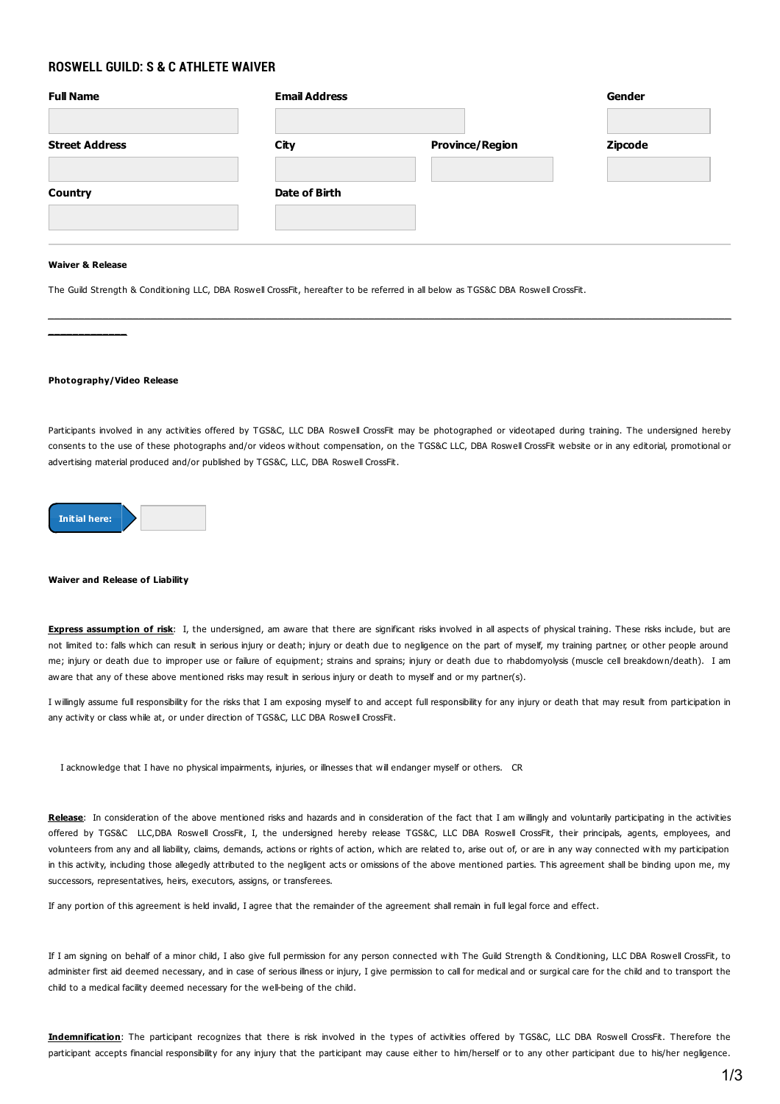## **ROSWELL GUILD: S & C ATHLETE WAIVER**

| <b>Full Name</b>      | <b>Email Address</b> |                        | Gender         |
|-----------------------|----------------------|------------------------|----------------|
| <b>Street Address</b> | City                 | <b>Province/Region</b> | <b>Zipcode</b> |
| <b>Country</b>        | Date of Birth        |                        |                |
|                       |                      |                        |                |

## **Waiver & Release**

The Guild Strength & Conditioning LLC, DBA Roswell CrossFit, hereafter to be referred in all below as TGS&C DBA Roswell CrossFit.



Participants involved in any activities offered by TGS&C, LLC DBA Roswell CrossFit may be photographed or videotaped during training. The undersigned hereby consents to the use of these photographs and/or videos without compensation, on the TGS&C LLC, DBA Roswell CrossFit website or in any editorial, promotional or advertising material produced and/or published by TGS&C, LLC, DBA Roswell CrossFit.



## **Waiver and Release of Liability**

**Express assumption of risk**: I, the undersigned, am aware that there are significant risks involved in all aspects of physical training. These risks include, but are not limited to: falls which can result in serious injury or death; injury or death due to negligence on the part of myself, my training partner, or other people around me; injury or death due to improper use or failure of equipment; strains and sprains; injury or death due to rhabdomyolysis (muscle cell breakdown/death). I am aware that any of these above mentioned risks may result in serious injury or death to myself and or my partner(s).

I willingly assume full responsibility for the risks that I am exposing myself to and accept full responsibility for any injury or death that may result from participation in any activity or class while at, or under direction of TGS&C, LLC DBA Roswell CrossFit.

I acknowledge that I have no physical impairments, injuries, or illnesses that will endanger myself or others. CR

**Release**: In consideration of the above mentioned risks and hazards and in consideration of the fact that I am willingly and voluntarily participating in the activities offered by TGS&C LLC,DBA Roswell CrossFit, I, the undersigned hereby release TGS&C, LLC DBA Roswell CrossFit, their principals, agents, employees, and volunteers from any and all liability, claims, demands, actions or rights of action, which are related to, arise out of, or are in any way connected with my participation in this activity, including those allegedly attributed to the negligent acts or omissions of the above mentioned parties. This agreement shall be binding upon me, my successors, representatives, heirs, executors, assigns, or transferees.

If any portion of this agreement is held invalid, I agree that the remainder of the agreement shall remain in full legal force and effect.

If I am signing on behalf of a minor child, I also give full permission for any person connected with The Guild Strength & Conditioning, LLC DBA Roswell CrossFit, to administer first aid deemed necessary, and in case of serious illness or injury, I give permission to call for medical and or surgical care for the child and to transport the child to a medical facility deemed necessary for the well-being of the child.

**Indemnification**: The participant recognizes that there is risk involved in the types of activities offered by TGS&C, LLC DBA Roswell CrossFit. Therefore the participant accepts financial responsibility for any injury that the participant may cause either to him/herself or to any other participant due to his/her negligence.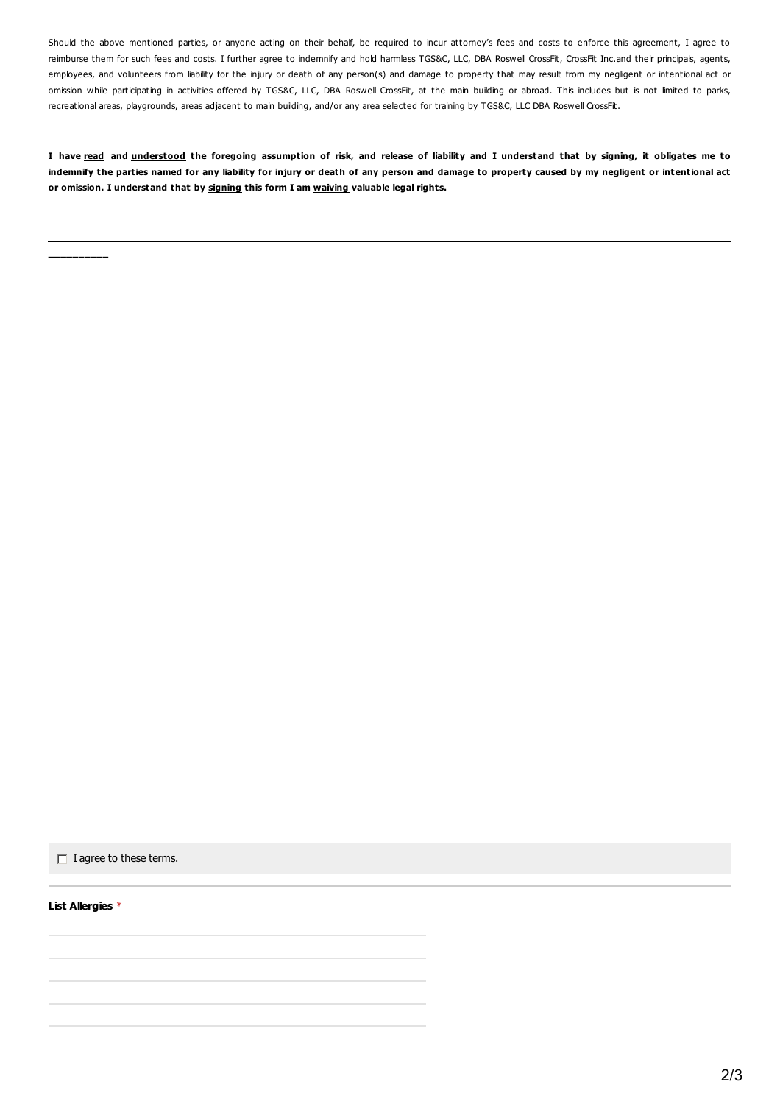Should the above mentioned parties, or anyone acting on their behalf, be required to incur attorney's fees and costs to enforce this agreement, I agree to reimburse them for such fees and costs. I further agree to indemnify and hold harmless TGS&C, LLC, DBA Roswell CrossFit, CrossFit Inc.and their principals, agents, employees, and volunteers from liability for the injury or death of any person(s) and damage to property that may result from my negligent or intentional act or omission while participating in activities offered by TGS&C, LLC, DBA Roswell CrossFit, at the main building or abroad. This includes but is not limited to parks, recreational areas, playgrounds, areas adjacent to main building, and/or any area selected for training by TGS&C, LLC DBA Roswell CrossFit.

I have read and understood the foregoing assumption of risk, and release of liability and I understand that by signing, it obligates me to indemnify the parties named for any liability for injury or death of any person and damage to property caused by my negligent or intentional act **or omission. I understand that by signing this form I am waiving valuable legal rights.**

**\_\_\_\_\_\_\_\_\_\_\_\_\_\_\_\_\_\_\_\_\_\_\_\_\_\_\_\_\_\_\_\_\_\_\_\_\_\_\_\_\_\_\_\_\_\_\_\_\_\_\_\_\_\_\_\_\_\_\_\_\_\_\_\_\_\_\_\_\_\_\_\_\_\_\_\_\_\_\_\_\_\_\_\_\_\_\_\_\_\_\_\_\_\_\_\_\_\_\_\_\_\_\_\_\_\_\_\_\_\_\_\_\_**

 $\Box$  I agree to these terms.

**List Allergies** \*

**\_\_\_\_\_\_\_\_\_\_**